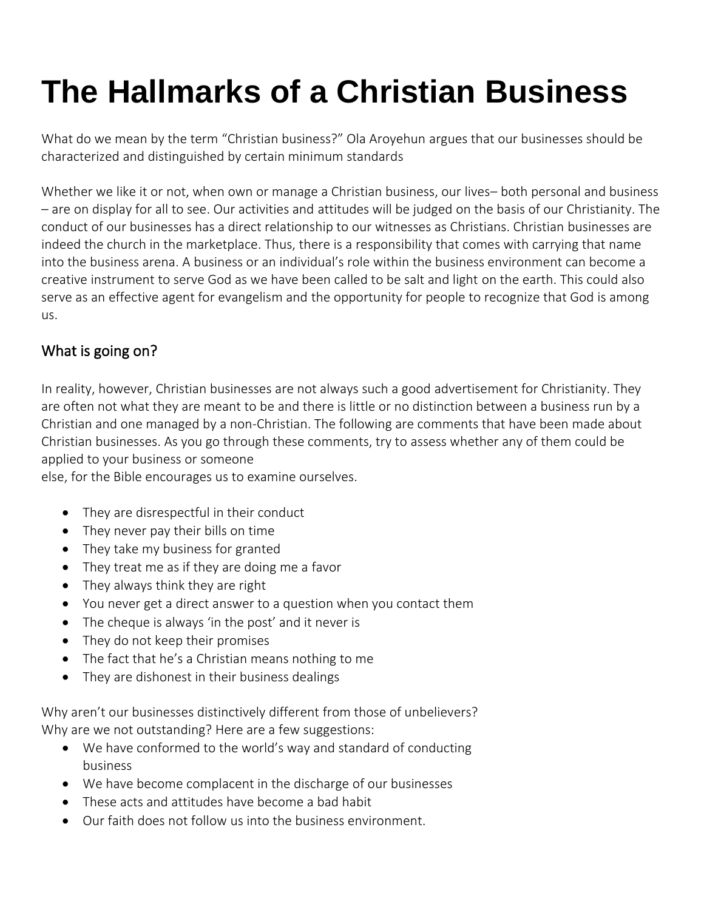# **The Hallmarks of a Christian Business**

What do we mean by the term "Christian business?" Ola Aroyehun argues that our businesses should be characterized and distinguished by certain minimum standards

Whether we like it or not, when own or manage a Christian business, our lives– both personal and business – are on display for all to see. Our activities and attitudes will be judged on the basis of our Christianity. The conduct of our businesses has a direct relationship to our witnesses as Christians. Christian businesses are indeed the church in the marketplace. Thus, there is a responsibility that comes with carrying that name into the business arena. A business or an individual's role within the business environment can become a creative instrument to serve God as we have been called to be salt and light on the earth. This could also serve as an effective agent for evangelism and the opportunity for people to recognize that God is among us.

# What is going on?

In reality, however, Christian businesses are not always such a good advertisement for Christianity. They are often not what they are meant to be and there is little or no distinction between a business run by a Christian and one managed by a non-Christian. The following are comments that have been made about Christian businesses. As you go through these comments, try to assess whether any of them could be applied to your business or someone

else, for the Bible encourages us to examine ourselves.

- They are disrespectful in their conduct
- They never pay their bills on time
- They take my business for granted
- They treat me as if they are doing me a favor
- They always think they are right
- You never get a direct answer to a question when you contact them
- The cheque is always 'in the post' and it never is
- They do not keep their promises
- The fact that he's a Christian means nothing to me
- They are dishonest in their business dealings

Why aren't our businesses distinctively different from those of unbelievers? Why are we not outstanding? Here are a few suggestions:

- We have conformed to the world's way and standard of conducting business
- We have become complacent in the discharge of our businesses
- These acts and attitudes have become a bad habit
- Our faith does not follow us into the business environment.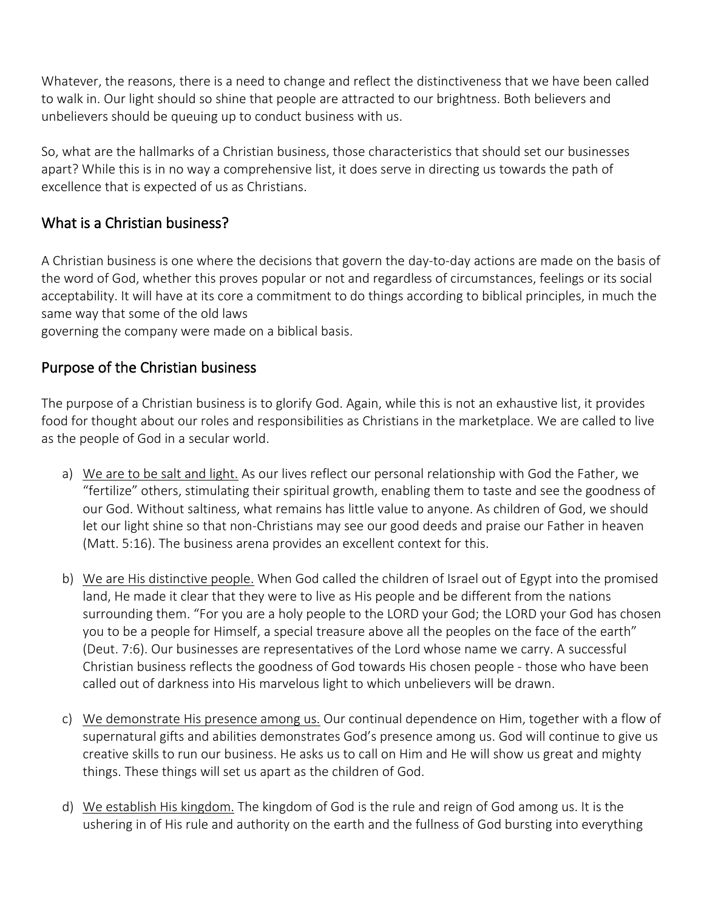Whatever, the reasons, there is a need to change and reflect the distinctiveness that we have been called to walk in. Our light should so shine that people are attracted to our brightness. Both believers and unbelievers should be queuing up to conduct business with us.

So, what are the hallmarks of a Christian business, those characteristics that should set our businesses apart? While this is in no way a comprehensive list, it does serve in directing us towards the path of excellence that is expected of us as Christians.

# What is a Christian business?

A Christian business is one where the decisions that govern the day-to-day actions are made on the basis of the word of God, whether this proves popular or not and regardless of circumstances, feelings or its social acceptability. It will have at its core a commitment to do things according to biblical principles, in much the same way that some of the old laws

governing the company were made on a biblical basis.

## Purpose of the Christian business

The purpose of a Christian business is to glorify God. Again, while this is not an exhaustive list, it provides food for thought about our roles and responsibilities as Christians in the marketplace. We are called to live as the people of God in a secular world.

- a) We are to be salt and light. As our lives reflect our personal relationship with God the Father, we "fertilize" others, stimulating their spiritual growth, enabling them to taste and see the goodness of our God. Without saltiness, what remains has little value to anyone. As children of God, we should let our light shine so that non-Christians may see our good deeds and praise our Father in heaven (Matt. 5:16). The business arena provides an excellent context for this.
- b) We are His distinctive people. When God called the children of Israel out of Egypt into the promised land, He made it clear that they were to live as His people and be different from the nations surrounding them. "For you are a holy people to the LORD your God; the LORD your God has chosen you to be a people for Himself, a special treasure above all the peoples on the face of the earth" (Deut. 7:6). Our businesses are representatives of the Lord whose name we carry. A successful Christian business reflects the goodness of God towards His chosen people - those who have been called out of darkness into His marvelous light to which unbelievers will be drawn.
- c) We demonstrate His presence among us. Our continual dependence on Him, together with a flow of supernatural gifts and abilities demonstrates God's presence among us. God will continue to give us creative skills to run our business. He asks us to call on Him and He will show us great and mighty things. These things will set us apart as the children of God.
- d) We establish His kingdom. The kingdom of God is the rule and reign of God among us. It is the ushering in of His rule and authority on the earth and the fullness of God bursting into everything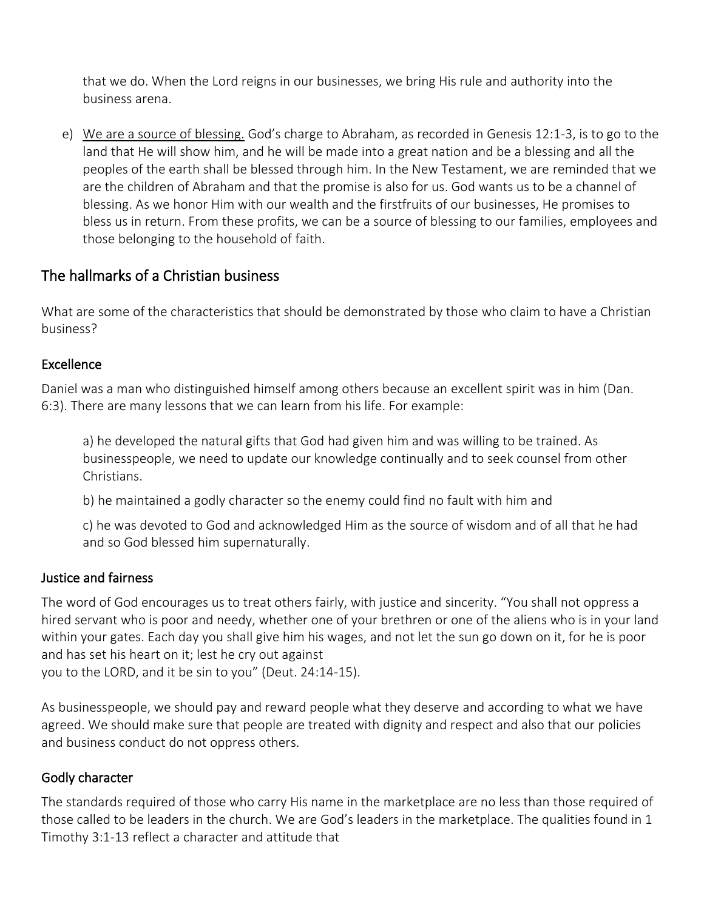that we do. When the Lord reigns in our businesses, we bring His rule and authority into the business arena.

e) We are a source of blessing. God's charge to Abraham, as recorded in Genesis 12:1-3, is to go to the land that He will show him, and he will be made into a great nation and be a blessing and all the peoples of the earth shall be blessed through him. In the New Testament, we are reminded that we are the children of Abraham and that the promise is also for us. God wants us to be a channel of blessing. As we honor Him with our wealth and the firstfruits of our businesses, He promises to bless us in return. From these profits, we can be a source of blessing to our families, employees and those belonging to the household of faith.

## The hallmarks of a Christian business

What are some of the characteristics that should be demonstrated by those who claim to have a Christian business?

#### Excellence

Daniel was a man who distinguished himself among others because an excellent spirit was in him (Dan. 6:3). There are many lessons that we can learn from his life. For example:

a) he developed the natural gifts that God had given him and was willing to be trained. As businesspeople, we need to update our knowledge continually and to seek counsel from other Christians.

b) he maintained a godly character so the enemy could find no fault with him and

c) he was devoted to God and acknowledged Him as the source of wisdom and of all that he had and so God blessed him supernaturally.

#### Justice and fairness

The word of God encourages us to treat others fairly, with justice and sincerity. "You shall not oppress a hired servant who is poor and needy, whether one of your brethren or one of the aliens who is in your land within your gates. Each day you shall give him his wages, and not let the sun go down on it, for he is poor and has set his heart on it; lest he cry out against

you to the LORD, and it be sin to you" (Deut. 24:14-15).

As businesspeople, we should pay and reward people what they deserve and according to what we have agreed. We should make sure that people are treated with dignity and respect and also that our policies and business conduct do not oppress others.

## Godly character

The standards required of those who carry His name in the marketplace are no less than those required of those called to be leaders in the church. We are God's leaders in the marketplace. The qualities found in 1 Timothy 3:1-13 reflect a character and attitude that